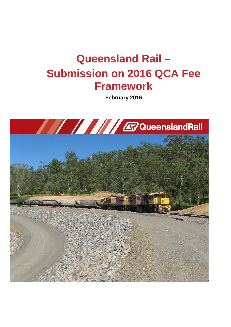# **Queensland Rail – Submission on 2016 QCA Fee Framework**

**February 2016**

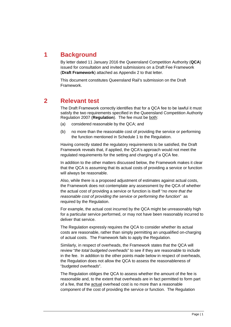# **1 Background**

By letter dated 11 January 2016 the Queensland Competition Authority (**QCA**) issued for consultation and invited submissions on a Draft Fee Framework (**Draft Framework**) attached as Appendix 2 to that letter.

This document constitutes Queensland Rail's submission on the Draft Framework.

### **2 Relevant test**

The Draft Framework correctly identifies that for a QCA fee to be lawful it must satisfy the two requirements specified in the Queensland Competition Authority Regulation 2007 (**Regulation**). The fee must be both:

- (a) considered reasonable by the QCA; and
- (b) no more than the reasonable cost of providing the service or performing the function mentioned in Schedule 1 to the Regulation.

Having correctly stated the regulatory requirements to be satisfied, the Draft Framework reveals that, if applied, the QCA's approach would not meet the regulated requirements for the setting and charging of a QCA fee.

In addition to the other matters discussed below, the Framework makes it clear that the QCA is assuming that its actual costs of providing a service or function will always be reasonable.

Also, while there is a proposed adjustment of estimates against actual costs, the Framework does not contemplate any assessment by the QCA of whether the actual cost of providing a service or function is itself "*no more that the reasonable cost of providing the service or performing the function*" as required by the Regulation.

For example, the actual cost incurred by the QCA might be unreasonably high for a particular service performed, or may not have been reasonably incurred to deliver that service.

The Regulation expressly requires the QCA to consider whether its actual costs are reasonable, rather than simply permitting an unqualified on-charging of actual costs. The Framework fails to apply the Regulation.

Similarly, in respect of overheads, the Framework states that the QCA will review "*the total budgeted overheads*" to see if they are reasonable to include in the fee. In addition to the other points made below in respect of overheads, the Regulation does not allow the QCA to assess the reasonableness of "*budgeted overheads*".

The Regulation obliges the QCA to assess whether the amount of the fee is reasonable and, to the extent that overheads are in fact permitted to form part of a fee, that the actual overhead cost is no more than a reasonable component of the cost of providing the service or function. The Regulation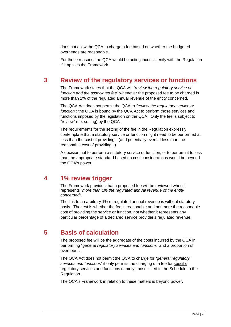does not allow the QCA to charge a fee based on whether the budgeted overheads are reasonable.

For these reasons, the QCA would be acting inconsistently with the Regulation if it applies the Framework.

#### **3 Review of the regulatory services or functions**

The Framework states that the QCA will "*review the regulatory service or function and the associated fee*" whenever the proposed fee to be charged is more than 1% of the regulated annual revenue of the entity concerned.

The QCA Act does not permit the QCA to *"review the regulatory service or function*"; the QCA is bound by the QCA Act to perform those services and functions imposed by the legislation on the QCA. Only the fee is subject to "review" (i.e. setting) by the QCA.

The requirements for the setting of the fee in the Regulation expressly contemplate that a statutory service or function might need to be performed at less than the cost of providing it (and potentially even at less than the reasonable cost of providing it).

A decision not to perform a statutory service or function, or to perform it to less than the appropriate standard based on cost considerations would be beyond the QCA's power.

#### **4 1% review trigger**

The Framework provides that a proposed fee will be reviewed when it represents "*more than 1% the regulated annual revenue of the entity concerned*".

The link to an arbitrary 1% of regulated annual revenue is without statutory basis. The test is whether the fee is reasonable and not more the reasonable cost of providing the service or function, not whether it represents any particular percentage of a declared service provider's regulated revenue.

## **5 Basis of calculation**

The proposed fee will be the aggregate of the costs incurred by the QCA in performing "*general regulatory services and functions*" and a proportion of overheads.

The QCA Act does not permit the QCA to charge for "*general regulatory services and functions"* it only permits the charging of a fee for specific regulatory services and functions namely, those listed in the Schedule to the Regulation.

The QCA's Framework in relation to these matters is beyond power.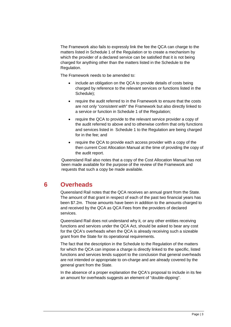The Framework also fails to expressly link the fee the QCA can charge to the matters listed in Schedule 1 of the Regulation or to create a mechanism by which the provider of a declared service can be satisfied that it is not being charged for anything other than the matters listed in the Schedule to the Regulation.

The Framework needs to be amended to:

- include an obligation on the QCA to provide details of costs being charged by reference to the relevant services or functions listed in the Schedule);
- require the audit referred to in the Framework to ensure that the costs are not only "*consistent with*" the Framework but also directly linked to a service or function in Schedule 1 of the Regulation;
- require the QCA to provide to the relevant service provider a copy of the audit referred to above and to otherwise confirm that only functions and services listed in Schedule 1 to the Regulation are being charged for in the fee; and
- require the QCA to provide each access provider with a copy of the then current Cost Allocation Manual at the time of providing the copy of the audit report.

Queensland Rail also notes that a copy of the Cost Allocation Manual has not been made available for the purpose of the review of the Framework and requests that such a copy be made available.

# **6 Overheads**

Queensland Rail notes that the QCA receives an annual grant from the State. The amount of that grant in respect of each of the past two financial years has been \$7.2m. Those amounts have been in addition to the amounts charged to and received by the QCA as QCA Fees from the providers of declared services.

Queensland Rail does not understand why it, or any other entities receiving functions and services under the QCA Act, should be asked to bear any cost for the QCA's overheads when the QCA is already receiving such a sizeable grant from the State for its operational requirements.

The fact that the description in the Schedule to the Regulation of the matters for which the QCA can impose a charge is directly linked to the specific, listed functions and services lends support to the conclusion that general overheads are not intended or appropriate to on-charge and are already covered by the general grant from the State.

In the absence of a proper explanation the QCA's proposal to include in its fee an amount for overheads suggests an element of "double-dipping".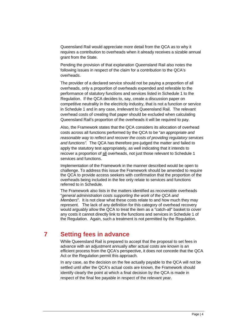Queensland Rail would appreciate more detail from the QCA as to why it requires a contribution to overheads when it already receives a sizable annual grant from the State.

Pending the provision of that explanation Queensland Rail also notes the following issues in respect of the claim for a contribution to the QCA's overheads.

The provider of a declared service should not be paying a proportion of all overheads, only a proportion of overheads expended and referable to the performance of statutory functions and services listed in Schedule 1 to the Regulation. If the QCA decides to, say, create a discussion paper on competitive neutrality in the electricity industry, that is not a function or service in Schedule 1 and in any case, irrelevant to Queensland Rail. The relevant overhead costs of creating that paper should be excluded when calculating Queensland Rail's proportion of the overheads it will be required to pay.

Also, the Framework states that the QCA considers its allocation of overhead costs across all functions performed by the QCA to be "*an appropriate and reasonable way to reflect and recover the costs of providing regulatory services and functions".* The QCA has therefore pre-judged the matter and failed to apply the statutory test appropriately, as well indicating that it intends to recover a proportion of all overheads, not just those relevant to Schedule 1 services and functions.

Implementation of the Framework in the manner described would be open to challenge. To address this issue the Framework should be amended to require the QCA to provide access seekers with confirmation that the proportion of the overheads being included in the fee only relate to services and functions referred to in Schedule.

The Framework also lists in the matters identified as recoverable overheads "*general administration costs supporting the work of the QCA and Members*". It is not clear what these costs relate to and how much they may represent. The lack of any definition for this category of overhead recovery would arguably allow the QCA to treat the item as a "catch-all" basket to cover any costs it cannot directly link to the functions and services in Schedule 1 of the Regulation. Again, such a treatment is not permitted by the Regulation.

#### **7 Setting fees in advance**

While Queensland Rail is prepared to accept that the proposal to set fees in advance with an adjustment annually after actual costs are known is an efficient process from the QCA's perspective, it does not concede that the QCA Act or the Regulation permit this approach.

In any case, as the decision on the fee actually payable to the QCA will not be settled until after the QCA's actual costs are known, the Framework should identify clearly the point at which a final decision by the QCA is made in respect of the final fee payable in respect of the relevant year.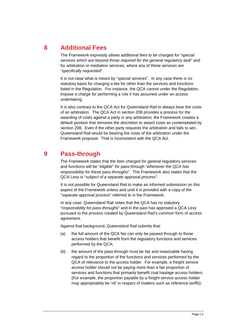**8 Additional Fees**

The Framework expressly allows additional fees to be charged for "*special services which are beyond those required for the general regulatory task*" and for arbitration or mediation services, where any of these services are "*specifically requested*".

It is not clear what is meant by "*special services*". In any case there is no statutory basis for charging a fee for other than the services and functions listed in the Regulation. For instance, the QCA cannot under the Regulation, impose a charge for performing a role it has assumed under an access undertaking.

It is also contrary to the QCA Act for Queensland Rail to always bear the costs of an arbitration. The QCA Act in section 208 provides a process for the awarding of costs against a party in any arbitration; the Framework creates a default position that removes the discretion to award costs as contemplated by section 208. Even if the other party requests the arbitration and fails to win, Queensland Rail would be bearing the costs of the arbitration under the Framework proposal. That is inconsistent with the QCA Act.

## **9 Pass-through**

The Framework states that the fees charged for general regulatory services and functions will be "*eligible*" for pass-through "*whenever the QCA has responsibility for these pass-throughs*". The Framework also states that the QCA Levy is "*subject of a separate approval process*".

It is not possible for Queensland Rail to make an informed submission on this aspect of the Framework unless and until it is provided with a copy of the "*separate approval process*" referred to in the Framework.

In any case, Queensland Rail notes that the QCA has no statutory "*responsibility for pass-throughs*" and in the past has approved a QCA Levy pursuant to the process created by Queensland Rail's common form of access agreement.

Against that background, Queensland Rail submits that:

- (a) the full amount of the QCA fee can only be passed through to those access holders that benefit from the regulatory functions and services performed by the QCA;
- (b) the amount of the pass-through must be fair and reasonable having regard to the proportion of the functions and services performed by the QCA of relevance to the access holder. For example, a freight service access holder should not be paying more than a fair proportion of services and functions that primarily benefit coal haulage access holders. (For example, the proportion payable by a freight service access holder may appropriately be 'nil' in respect of matters such as reference tariffs);

Page | 5